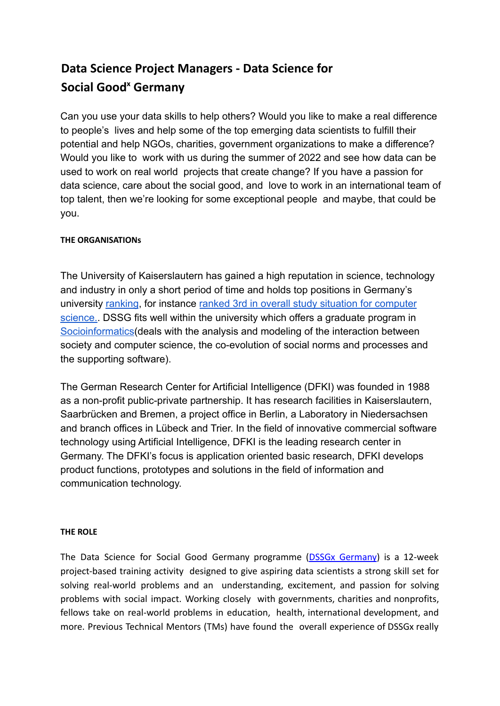# **Data Science Project Managers - Data Science for Social Good <sup>x</sup> Germany**

Can you use your data skills to help others? Would you like to make a real difference to people's lives and help some of the top emerging data scientists to fulfill their potential and help NGOs, charities, government organizations to make a difference? Would you like to work with us during the summer of 2022 and see how data can be used to work on real world projects that create change? If you have a passion for data science, care about the social good, and love to work in an international team of top talent, then we're looking for some exceptional people and maybe, that could be you.

## **THE ORGANISATIONs**

The University of Kaiserslautern has gained a high reputation in science, technology and industry in only a short period of time and holds top positions in Germany's university [ranking](https://www.uni-kl.de/en/international/master/prospective-students/why-kaiserslautern/rankings-achievements), for instance ranked 3rd in overall [study situation for computer](https://www.daad.de/en/study-and-research-in-germany/plan-your-studies/che-university-ranking/?che-subject-id=1&che-university-type-id=1&che-degree-id=3&che-a=ranking-list&che-indicator%5B%5D=309&che-indicator%5B%5D=23&che-indicator%5B%5D=611&che-indicator%5B%5D=42&che-indicator%5B%5D=14&che-sort=23) [science.](https://www.daad.de/en/study-and-research-in-germany/plan-your-studies/che-university-ranking/?che-subject-id=1&che-university-type-id=1&che-degree-id=3&che-a=ranking-list&che-indicator%5B%5D=309&che-indicator%5B%5D=23&che-indicator%5B%5D=611&che-indicator%5B%5D=42&che-indicator%5B%5D=14&che-sort=23). DSSG fits well within the university which offers a graduate program in [Socioinformatics](https://www.cs.uni-kl.de/en/studium/studiengaenge/bm-si/)(deals with the analysis and modeling of the interaction between society and computer science, the co-evolution of social norms and processes and the supporting software).

The German Research Center for Artificial Intelligence (DFKI) was founded in 1988 as a non-profit public-private partnership. It has research facilities in Kaiserslautern, Saarbrücken and Bremen, a project office in Berlin, a Laboratory in Niedersachsen and branch offices in Lübeck and Trier. In the field of innovative commercial software technology using Artificial Intelligence, DFKI is the leading research center in Germany. The DFKI's focus is application oriented basic research, DFKI develops product functions, prototypes and solutions in the field of information and communication technology.

## **THE ROLE**

The Data Science for Social Good Germany programme (DSSGx Germany) is a 12-week project-based training activity designed to give aspiring data scientists a strong skill set for solving real-world problems and an understanding, excitement, and passion for solving problems with social impact. Working closely with governments, charities and nonprofits, fellows take on real-world problems in education, health, international development, and more. Previous Technical Mentors (TMs) have found the overall experience of DSSGx really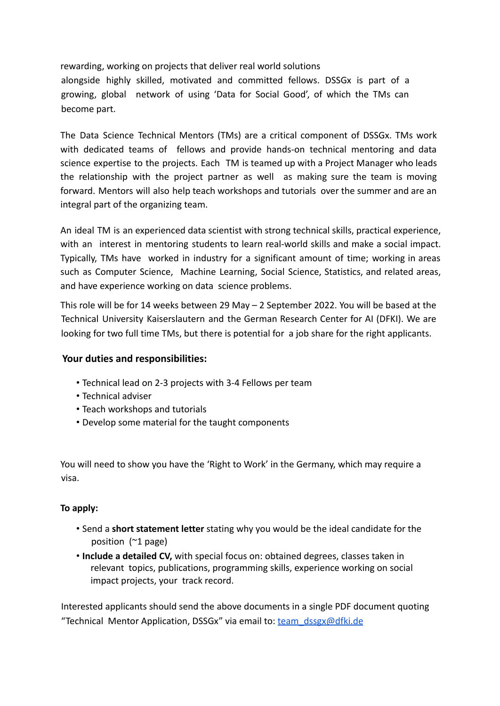rewarding, working on projects that deliver real world solutions alongside highly skilled, motivated and committed fellows. DSSGx is part of a growing, global network of using 'Data for Social Good', of which the TMs can become part.

The Data Science Technical Mentors (TMs) are a critical component of DSSGx. TMs work with dedicated teams of fellows and provide hands-on technical mentoring and data science expertise to the projects. Each TM is teamed up with a Project Manager who leads the relationship with the project partner as well as making sure the team is moving forward. Mentors will also help teach workshops and tutorials over the summer and are an integral part of the organizing team.

An ideal TM is an experienced data scientist with strong technical skills, practical experience, with an interest in mentoring students to learn real-world skills and make a social impact. Typically, TMs have worked in industry for a significant amount of time; working in areas such as Computer Science, Machine Learning, Social Science, Statistics, and related areas, and have experience working on data science problems.

This role will be for 14 weeks between 29 May – 2 September 2022. You will be based at the Technical University Kaiserslautern and the German Research Center for AI (DFKI). We are looking for two full time TMs, but there is potential for a job share for the right applicants.

## **Your duties and responsibilities:**

- Technical lead on 2-3 projects with 3-4 Fellows per team
- Technical adviser
- Teach workshops and tutorials
- Develop some material for the taught components

You will need to show you have the 'Right to Work' in the Germany, which may require a visa.

#### **To apply:**

- Send a **short statement letter** stating why you would be the ideal candidate for the position (~1 page)
- **Include a detailed CV,** with special focus on: obtained degrees, classes taken in relevant topics, publications, programming skills, experience working on social impact projects, your track record.

Interested applicants should send the above documents in a single PDF document quoting "Technical Mentor Application, DSSGx" via email to: [team\\_dssgx@dfki.de](mailto:team_dssgx@dfki.de)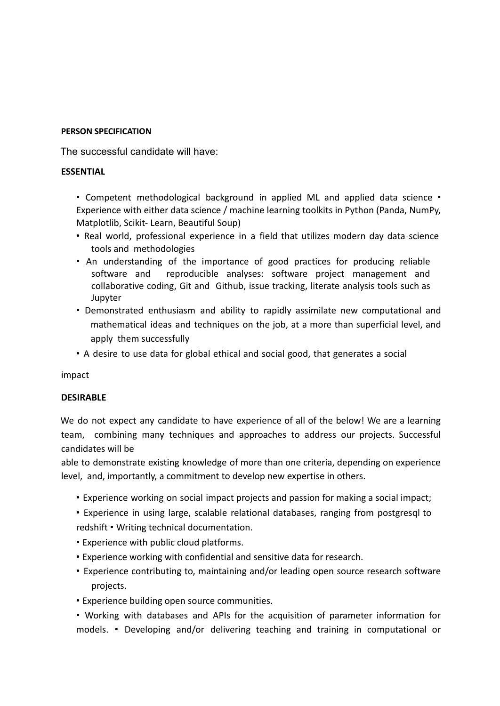#### **PERSON SPECIFICATION**

The successful candidate will have:

## **ESSENTIAL**

• Competent methodological background in applied ML and applied data science • Experience with either data science / machine learning toolkits in Python (Panda, NumPy, Matplotlib, Scikit- Learn, Beautiful Soup)

- Real world, professional experience in a field that utilizes modern day data science tools and methodologies
- An understanding of the importance of good practices for producing reliable software and reproducible analyses: software project management and collaborative coding, Git and Github, issue tracking, literate analysis tools such as Jupyter
- Demonstrated enthusiasm and ability to rapidly assimilate new computational and mathematical ideas and techniques on the job, at a more than superficial level, and apply them successfully
- A desire to use data for global ethical and social good, that generates a social

impact

## **DESIRABLE**

We do not expect any candidate to have experience of all of the below! We are a learning team, combining many techniques and approaches to address our projects. Successful candidates will be

able to demonstrate existing knowledge of more than one criteria, depending on experience level, and, importantly, a commitment to develop new expertise in others.

- Experience working on social impact projects and passion for making a social impact;
- Experience in using large, scalable relational databases, ranging from postgresql to redshift • Writing technical documentation.
- Experience with public cloud platforms.
- Experience working with confidential and sensitive data for research.
- Experience contributing to, maintaining and/or leading open source research software projects.
- Experience building open source communities.

• Working with databases and APIs for the acquisition of parameter information for models. • Developing and/or delivering teaching and training in computational or